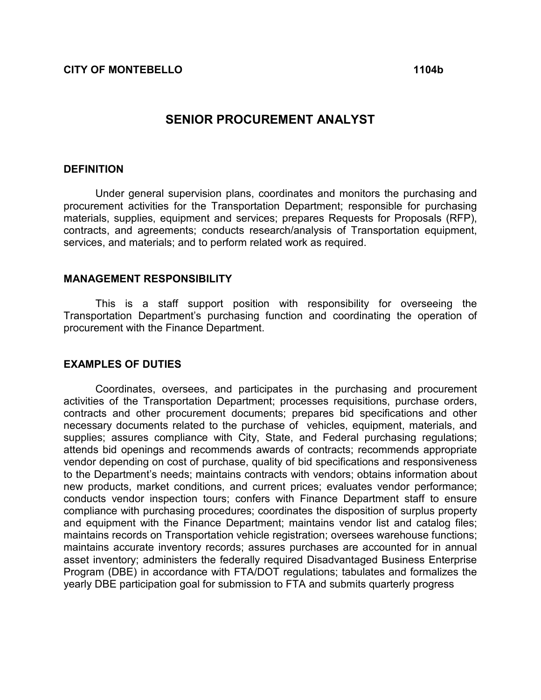# SENIOR PROCUREMENT ANALYST

### **DEFINITION**

Under general supervision plans, coordinates and monitors the purchasing and procurement activities for the Transportation Department; responsible for purchasing materials, supplies, equipment and services; prepares Requests for Proposals (RFP), contracts, and agreements; conducts research/analysis of Transportation equipment, services, and materials; and to perform related work as required.

#### MANAGEMENT RESPONSIBILITY

This is a staff support position with responsibility for overseeing the Transportation Department's purchasing function and coordinating the operation of procurement with the Finance Department.

#### EXAMPLES OF DUTIES

 Coordinates, oversees, and participates in the purchasing and procurement activities of the Transportation Department; processes requisitions, purchase orders, contracts and other procurement documents; prepares bid specifications and other necessary documents related to the purchase of vehicles, equipment, materials, and supplies; assures compliance with City, State, and Federal purchasing regulations; attends bid openings and recommends awards of contracts; recommends appropriate vendor depending on cost of purchase, quality of bid specifications and responsiveness to the Department's needs; maintains contracts with vendors; obtains information about new products, market conditions, and current prices; evaluates vendor performance; conducts vendor inspection tours; confers with Finance Department staff to ensure compliance with purchasing procedures; coordinates the disposition of surplus property and equipment with the Finance Department; maintains vendor list and catalog files; maintains records on Transportation vehicle registration; oversees warehouse functions; maintains accurate inventory records; assures purchases are accounted for in annual asset inventory; administers the federally required Disadvantaged Business Enterprise Program (DBE) in accordance with FTA/DOT regulations; tabulates and formalizes the yearly DBE participation goal for submission to FTA and submits quarterly progress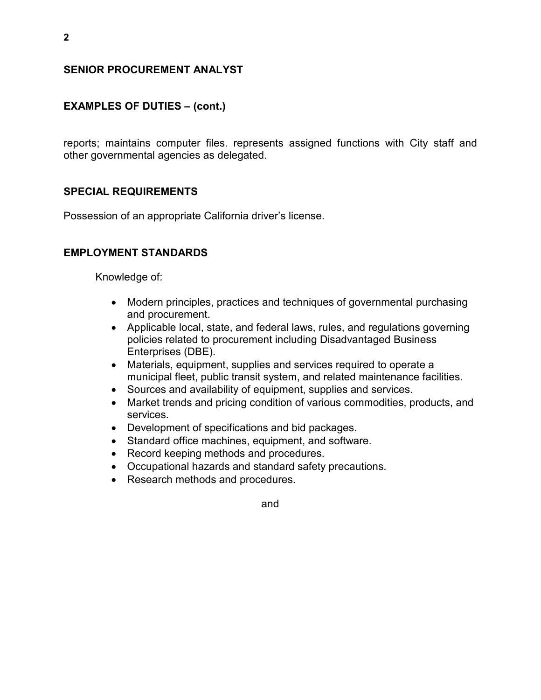### SENIOR PROCUREMENT ANALYST

## EXAMPLES OF DUTIES – (cont.)

reports; maintains computer files. represents assigned functions with City staff and other governmental agencies as delegated.

### SPECIAL REQUIREMENTS

Possession of an appropriate California driver's license.

### EMPLOYMENT STANDARDS

Knowledge of:

- Modern principles, practices and techniques of governmental purchasing and procurement.
- Applicable local, state, and federal laws, rules, and regulations governing policies related to procurement including Disadvantaged Business Enterprises (DBE).
- Materials, equipment, supplies and services required to operate a municipal fleet, public transit system, and related maintenance facilities.
- Sources and availability of equipment, supplies and services.
- Market trends and pricing condition of various commodities, products, and services.
- Development of specifications and bid packages.
- Standard office machines, equipment, and software.
- Record keeping methods and procedures.
- Occupational hazards and standard safety precautions.
- Research methods and procedures.

2

and